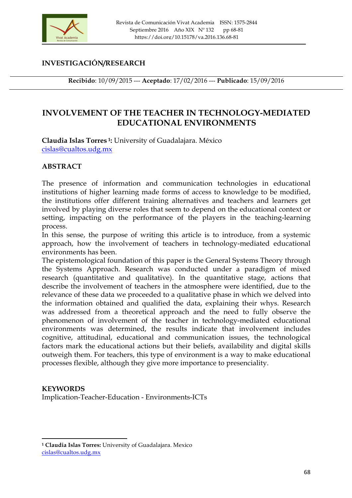

### **INVESTIGACIÓN/RESEARCH**

**Recibido**: 10/09/2015 --- **Aceptado**: 17/02/2016 --- **Publicado**: 15/09/2016

# **INVOLVEMENT OF THE TEACHER IN TECHNOLOGY-MEDIATED EDUCATIONAL ENVIRONMENTS**

**Claudia Islas Torres 1:** University of Guadalajara. México cislas@cualtos.udg.mx

### **ABSTRACT**

The presence of information and communication technologies in educational institutions of higher learning made forms of access to knowledge to be modified, the institutions offer different training alternatives and teachers and learners get involved by playing diverse roles that seem to depend on the educational context or setting, impacting on the performance of the players in the teaching-learning process.

In this sense, the purpose of writing this article is to introduce, from a systemic approach, how the involvement of teachers in technology-mediated educational environments has been.

The epistemological foundation of this paper is the General Systems Theory through the Systems Approach. Research was conducted under a paradigm of mixed research (quantitative and qualitative). In the quantitative stage, actions that describe the involvement of teachers in the atmosphere were identified, due to the relevance of these data we proceeded to a qualitative phase in which we delved into the information obtained and qualified the data, explaining their whys. Research was addressed from a theoretical approach and the need to fully observe the phenomenon of involvement of the teacher in technology-mediated educational environments was determined, the results indicate that involvement includes cognitive, attitudinal, educational and communication issues, the technological factors mark the educational actions but their beliefs, availability and digital skills outweigh them. For teachers, this type of environment is a way to make educational processes flexible, although they give more importance to presenciality.

### **KEYWORDS**

<u> 1989 - Johann Stein, marwolaethau a bh</u>

Implication-Teacher-Education - Environments-ICTs

**<sup>1</sup> Claudia Islas Torres:** University of Guadalajara. Mexico cislas@cualtos.udg.mx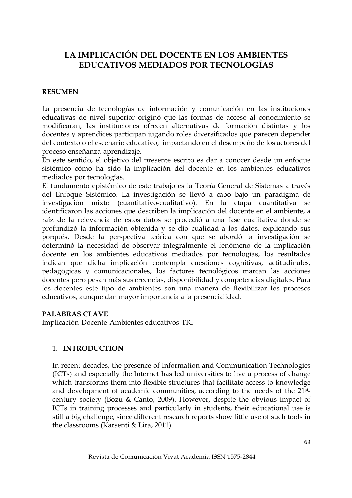# **LA IMPLICACIÓN DEL DOCENTE EN LOS AMBIENTES EDUCATIVOS MEDIADOS POR TECNOLOGÍAS**

### **RESUMEN**

La presencia de tecnologías de información y comunicación en las instituciones educativas de nivel superior originó que las formas de acceso al conocimiento se modificaran, las instituciones ofrecen alternativas de formación distintas y los docentes y aprendices participan jugando roles diversificados que parecen depender del contexto o el escenario educativo, impactando en el desempeño de los actores del proceso enseñanza-aprendizaje.

En este sentido, el objetivo del presente escrito es dar a conocer desde un enfoque sistémico cómo ha sido la implicación del docente en los ambientes educativos mediados por tecnologías.

El fundamento epistémico de este trabajo es la Teoría General de Sistemas a través del Enfoque Sistémico. La investigación se llevó a cabo bajo un paradigma de investigación mixto (cuantitativo-cualitativo). En la etapa cuantitativa se identificaron las acciones que describen la implicación del docente en el ambiente, a raíz de la relevancia de estos datos se procedió a una fase cualitativa donde se profundizó la información obtenida y se dio cualidad a los datos, explicando sus porqués. Desde la perspectiva teórica con que se abordó la investigación se determinó la necesidad de observar integralmente el fenómeno de la implicación docente en los ambientes educativos mediados por tecnologías, los resultados indican que dicha implicación contempla cuestiones cognitivas, actitudinales, pedagógicas y comunicacionales, los factores tecnológicos marcan las acciones docentes pero pesan más sus creencias, disponibilidad y competencias digitales. Para los docentes este tipo de ambientes son una manera de flexibilizar los procesos educativos, aunque dan mayor importancia a la presencialidad.

#### **PALABRAS CLAVE**

Implicación-Docente-Ambientes educativos-TIC

### 1. **INTRODUCTION**

In recent decades, the presence of Information and Communication Technologies (ICTs) and especially the Internet has led universities to live a process of change which transforms them into flexible structures that facilitate access to knowledge and development of academic communities, according to the needs of the 21stcentury society (Bozu & Canto, 2009). However, despite the obvious impact of ICTs in training processes and particularly in students, their educational use is still a big challenge, since different research reports show little use of such tools in the classrooms (Karsenti & Lira, 2011).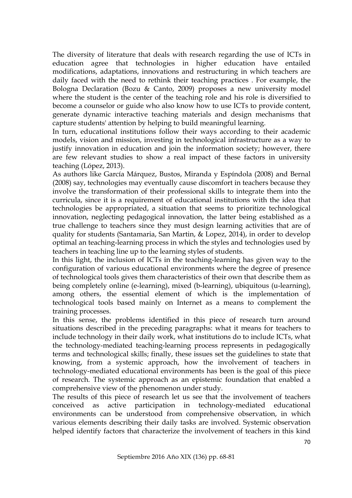The diversity of literature that deals with research regarding the use of ICTs in education agree that technologies in higher education have entailed modifications, adaptations, innovations and restructuring in which teachers are daily faced with the need to rethink their teaching practices . For example, the Bologna Declaration (Bozu & Canto, 2009) proposes a new university model where the student is the center of the teaching role and his role is diversified to become a counselor or guide who also know how to use ICTs to provide content, generate dynamic interactive teaching materials and design mechanisms that capture students' attention by helping to build meaningful learning.

In turn, educational institutions follow their ways according to their academic models, vision and mission, investing in technological infrastructure as a way to justify innovation in education and join the information society; however, there are few relevant studies to show a real impact of these factors in university teaching (López, 2013).

As authors like García Márquez, Bustos, Miranda y Espíndola (2008) and Bernal (2008) say, technologies may eventually cause discomfort in teachers because they involve the transformation of their professional skills to integrate them into the curricula, since it is a requirement of educational institutions with the idea that technologies be appropriated, a situation that seems to prioritize technological innovation, neglecting pedagogical innovation, the latter being established as a true challenge to teachers since they must design learning activities that are of quality for students (Santamaria, San Martin, & Lopez, 2014), in order to develop optimal an teaching-learning process in which the styles and technologies used by teachers in teaching line up to the learning styles of students.

In this light, the inclusion of ICTs in the teaching-learning has given way to the configuration of various educational environments where the degree of presence of technological tools gives them characteristics of their own that describe them as being completely online (e-learning), mixed (b-learning), ubiquitous (u-learning), among others, the essential element of which is the implementation of technological tools based mainly on Internet as a means to complement the training processes.

In this sense, the problems identified in this piece of research turn around situations described in the preceding paragraphs: what it means for teachers to include technology in their daily work, what institutions do to include ICTs, what the technology-mediated teaching-learning process represents in pedagogically terms and technological skills; finally, these issues set the guidelines to state that knowing, from a systemic approach, how the involvement of teachers in technology-mediated educational environments has been is the goal of this piece of research. The systemic approach as an epistemic foundation that enabled a comprehensive view of the phenomenon under study.

The results of this piece of research let us see that the involvement of teachers conceived as active participation in technology-mediated educational environments can be understood from comprehensive observation, in which various elements describing their daily tasks are involved. Systemic observation helped identify factors that characterize the involvement of teachers in this kind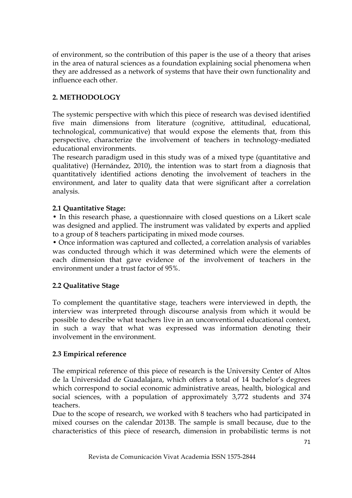of environment, so the contribution of this paper is the use of a theory that arises in the area of natural sciences as a foundation explaining social phenomena when they are addressed as a network of systems that have their own functionality and influence each other.

# **2. METHODOLOGY**

The systemic perspective with which this piece of research was devised identified five main dimensions from literature (cognitive, attitudinal, educational, technological, communicative) that would expose the elements that, from this perspective, characterize the involvement of teachers in technology-mediated educational environments.

The research paradigm used in this study was of a mixed type (quantitative and qualitative) (Hernández, 2010), the intention was to start from a diagnosis that quantitatively identified actions denoting the involvement of teachers in the environment, and later to quality data that were significant after a correlation analysis.

### **2.1 Quantitative Stage:**

• In this research phase, a questionnaire with closed questions on a Likert scale was designed and applied. The instrument was validated by experts and applied to a group of 8 teachers participating in mixed mode courses.

• Once information was captured and collected, a correlation analysis of variables was conducted through which it was determined which were the elements of each dimension that gave evidence of the involvement of teachers in the environment under a trust factor of 95%.

### **2.2 Qualitative Stage**

To complement the quantitative stage, teachers were interviewed in depth, the interview was interpreted through discourse analysis from which it would be possible to describe what teachers live in an unconventional educational context, in such a way that what was expressed was information denoting their involvement in the environment.

### **2.3 Empirical reference**

The empirical reference of this piece of research is the University Center of Altos de la Universidad de Guadalajara, which offers a total of 14 bachelor's degrees which correspond to social economic administrative areas, health, biological and social sciences, with a population of approximately 3,772 students and 374 teachers.

Due to the scope of research, we worked with 8 teachers who had participated in mixed courses on the calendar 2013B. The sample is small because, due to the characteristics of this piece of research, dimension in probabilistic terms is not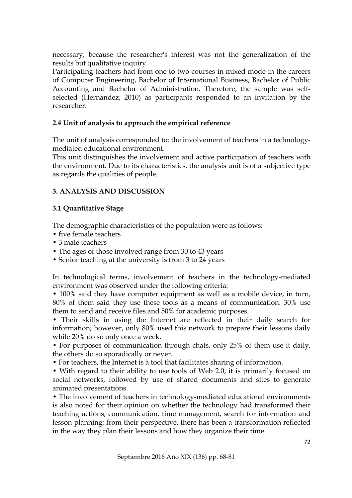necessary, because the researcher's interest was not the generalization of the results but qualitative inquiry.

Participating teachers had from one to two courses in mixed mode in the careers of Computer Engineering, Bachelor of International Business, Bachelor of Public Accounting and Bachelor of Administration. Therefore, the sample was selfselected (Hernandez, 2010) as participants responded to an invitation by the researcher.

### **2.4 Unit of analysis to approach the empirical reference**

The unit of analysis corresponded to: the involvement of teachers in a technologymediated educational environment.

This unit distinguishes the involvement and active participation of teachers with the environment. Due to its characteristics, the analysis unit is of a subjective type as regards the qualities of people.

## **3. ANALYSIS AND DISCUSSION**

### **3.1 Quantitative Stage**

The demographic characteristics of the population were as follows:

- five female teachers
- 3 male teachers
- The ages of those involved range from 30 to 43 years
- Senior teaching at the university is from 3 to 24 years

In technological terms, involvement of teachers in the technology-mediated environment was observed under the following criteria:

• 100% said they have computer equipment as well as a mobile device, in turn, 80% of them said they use these tools as a means of communication. 30% use them to send and receive files and 50% for academic purposes.

• Their skills in using the Internet are reflected in their daily search for information; however, only 80% used this network to prepare their lessons daily while 20% do so only once a week.

• For purposes of communication through chats, only 25% of them use it daily, the others do so sporadically or never.

• For teachers, the Internet is a tool that facilitates sharing of information.

• With regard to their ability to use tools of Web 2.0, it is primarily focused on social networks, followed by use of shared documents and sites to generate animated presentations.

• The involvement of teachers in technology-mediated educational environments is also noted for their opinion on whether the technology had transformed their teaching actions, communication, time management, search for information and lesson planning; from their perspective. there has been a transformation reflected in the way they plan their lessons and how they organize their time.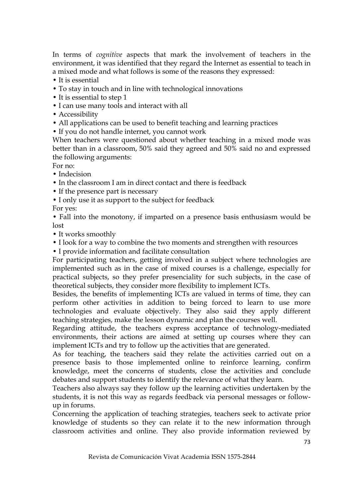In terms of *cognitive* aspects that mark the involvement of teachers in the environment, it was identified that they regard the Internet as essential to teach in a mixed mode and what follows is some of the reasons they expressed:

- It is essential
- To stay in touch and in line with technological innovations
- It is essential to step 1
- I can use many tools and interact with all
- Accessibility
- All applications can be used to benefit teaching and learning practices
- If you do not handle internet, you cannot work

When teachers were questioned about whether teaching in a mixed mode was better than in a classroom, 50% said they agreed and 50% said no and expressed the following arguments:

For no:

- Indecision
- In the classroom I am in direct contact and there is feedback
- If the presence part is necessary
- I only use it as support to the subject for feedback
- For yes:

• Fall into the monotony, if imparted on a presence basis enthusiasm would be lost

- It works smoothly
- I look for a way to combine the two moments and strengthen with resources
- I provide information and facilitate consultation

For participating teachers, getting involved in a subject where technologies are implemented such as in the case of mixed courses is a challenge, especially for practical subjects, so they prefer presenciality for such subjects, in the case of theoretical subjects, they consider more flexibility to implement ICTs.

Besides, the benefits of implementing ICTs are valued in terms of time, they can perform other activities in addition to being forced to learn to use more technologies and evaluate objectively. They also said they apply different teaching strategies, make the lesson dynamic and plan the courses well.

Regarding attitude, the teachers express acceptance of technology-mediated environments, their actions are aimed at setting up courses where they can implement ICTs and try to follow up the activities that are generated.

As for teaching, the teachers said they relate the activities carried out on a presence basis to those implemented online to reinforce learning, confirm knowledge, meet the concerns of students, close the activities and conclude debates and support students to identify the relevance of what they learn.

Teachers also always say they follow up the learning activities undertaken by the students, it is not this way as regards feedback via personal messages or followup in forums.

Concerning the application of teaching strategies, teachers seek to activate prior knowledge of students so they can relate it to the new information through classroom activities and online. They also provide information reviewed by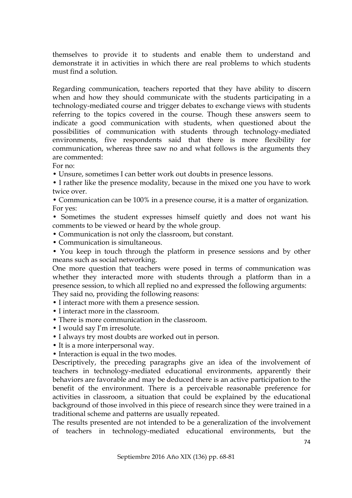themselves to provide it to students and enable them to understand and demonstrate it in activities in which there are real problems to which students must find a solution.

Regarding communication, teachers reported that they have ability to discern when and how they should communicate with the students participating in a technology-mediated course and trigger debates to exchange views with students referring to the topics covered in the course. Though these answers seem to indicate a good communication with students, when questioned about the possibilities of communication with students through technology-mediated environments, five respondents said that there is more flexibility for communication, whereas three saw no and what follows is the arguments they are commented:

For no:

• Unsure, sometimes I can better work out doubts in presence lessons.

- I rather like the presence modality, because in the mixed one you have to work twice over.
- Communication can be 100% in a presence course, it is a matter of organization. For yes:
- Sometimes the student expresses himself quietly and does not want his comments to be viewed or heard by the whole group.
- Communication is not only the classroom, but constant.
- Communication is simultaneous.
- You keep in touch through the platform in presence sessions and by other means such as social networking.

One more question that teachers were posed in terms of communication was whether they interacted more with students through a platform than in a presence session, to which all replied no and expressed the following arguments:

They said no, providing the following reasons:

- I interact more with them a presence session.
- I interact more in the classroom.
- There is more communication in the classroom.
- I would say I'm irresolute.
- I always try most doubts are worked out in person.
- It is a more interpersonal way.
- Interaction is equal in the two modes.

Descriptively, the preceding paragraphs give an idea of the involvement of teachers in technology-mediated educational environments, apparently their behaviors are favorable and may be deduced there is an active participation to the benefit of the environment. There is a perceivable reasonable preference for activities in classroom, a situation that could be explained by the educational background of those involved in this piece of research since they were trained in a traditional scheme and patterns are usually repeated.

The results presented are not intended to be a generalization of the involvement of teachers in technology-mediated educational environments, but the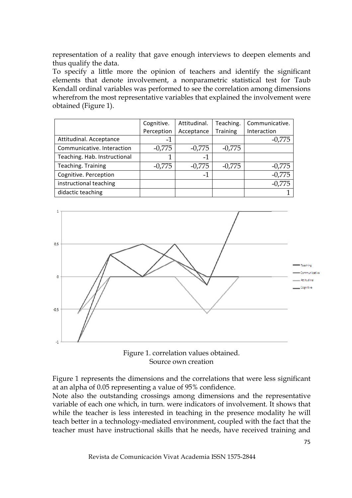representation of a reality that gave enough interviews to deepen elements and thus qualify the data.

To specify a little more the opinion of teachers and identify the significant elements that denote involvement, a nonparametric statistical test for Taub Kendall ordinal variables was performed to see the correlation among dimensions wherefrom the most representative variables that explained the involvement were obtained (Figure 1).

|                              | Cognitive. | Attitudinal. | Teaching. | Communicative. |
|------------------------------|------------|--------------|-----------|----------------|
|                              | Perception | Acceptance   | Training  | Interaction    |
| Attitudinal. Acceptance      | $-1$       |              |           | $-0,775$       |
| Communicative. Interaction   | $-0,775$   | $-0,775$     | $-0,775$  |                |
| Teaching. Hab. Instructional | 1          | -1           |           |                |
| Teaching. Training           | $-0,775$   | $-0,775$     | $-0,775$  | $-0,775$       |
| Cognitive. Perception        |            | $-1$         |           | $-0,775$       |
| instructional teaching       |            |              |           | $-0,775$       |
| didactic teaching            |            |              |           |                |





Figure 1 represents the dimensions and the correlations that were less significant at an alpha of 0.05 representing a value of 95% confidence.

Note also the outstanding crossings among dimensions and the representative variable of each one which, in turn. were indicators of involvement. It shows that while the teacher is less interested in teaching in the presence modality he will teach better in a technology-mediated environment, coupled with the fact that the teacher must have instructional skills that he needs, have received training and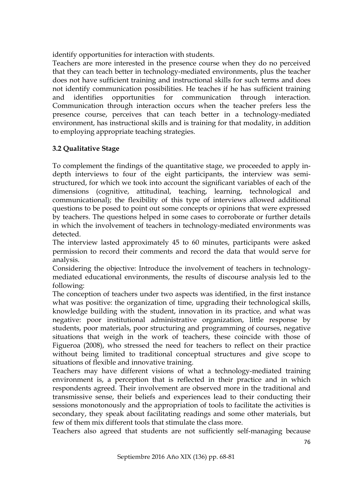identify opportunities for interaction with students.

Teachers are more interested in the presence course when they do no perceived that they can teach better in technology-mediated environments, plus the teacher does not have sufficient training and instructional skills for such terms and does not identify communication possibilities. He teaches if he has sufficient training and identifies opportunities for communication through interaction. Communication through interaction occurs when the teacher prefers less the presence course, perceives that can teach better in a technology-mediated environment, has instructional skills and is training for that modality, in addition to employing appropriate teaching strategies.

## **3.2 Qualitative Stage**

To complement the findings of the quantitative stage, we proceeded to apply indepth interviews to four of the eight participants, the interview was semistructured, for which we took into account the significant variables of each of the dimensions (cognitive, attitudinal, teaching, learning, technological and communicational); the flexibility of this type of interviews allowed additional questions to be posed to point out some concepts or opinions that were expressed by teachers. The questions helped in some cases to corroborate or further details in which the involvement of teachers in technology-mediated environments was detected.

The interview lasted approximately 45 to 60 minutes, participants were asked permission to record their comments and record the data that would serve for analysis.

Considering the objective: Introduce the involvement of teachers in technologymediated educational environments, the results of discourse analysis led to the following:

The conception of teachers under two aspects was identified, in the first instance what was positive: the organization of time, upgrading their technological skills, knowledge building with the student, innovation in its practice, and what was negative: poor institutional administrative organization, little response by students, poor materials, poor structuring and programming of courses, negative situations that weigh in the work of teachers, these coincide with those of Figueroa (2008), who stressed the need for teachers to reflect on their practice without being limited to traditional conceptual structures and give scope to situations of flexible and innovative training.

Teachers may have different visions of what a technology-mediated training environment is, a perception that is reflected in their practice and in which respondents agreed. Their involvement are observed more in the traditional and transmissive sense, their beliefs and experiences lead to their conducting their sessions monotonously and the appropriation of tools to facilitate the activities is secondary, they speak about facilitating readings and some other materials, but few of them mix different tools that stimulate the class more.

Teachers also agreed that students are not sufficiently self-managing because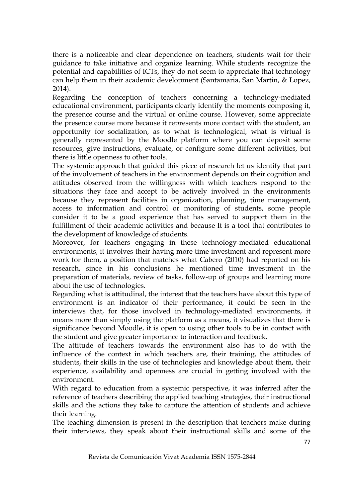there is a noticeable and clear dependence on teachers, students wait for their guidance to take initiative and organize learning. While students recognize the potential and capabilities of ICTs, they do not seem to appreciate that technology can help them in their academic development (Santamaria, San Martin, & Lopez, 2014).

Regarding the conception of teachers concerning a technology-mediated educational environment, participants clearly identify the moments composing it, the presence course and the virtual or online course. However, some appreciate the presence course more because it represents more contact with the student, an opportunity for socialization, as to what is technological, what is virtual is generally represented by the Moodle platform where you can deposit some resources, give instructions, evaluate, or configure some different activities, but there is little openness to other tools.

The systemic approach that guided this piece of research let us identify that part of the involvement of teachers in the environment depends on their cognition and attitudes observed from the willingness with which teachers respond to the situations they face and accept to be actively involved in the environments because they represent facilities in organization, planning, time management, access to information and control or monitoring of students, some people consider it to be a good experience that has served to support them in the fulfillment of their academic activities and because It is a tool that contributes to the development of knowledge of students.

Moreover, for teachers engaging in these technology-mediated educational environments, it involves their having more time investment and represent more work for them, a position that matches what Cabero (2010) had reported on his research, since in his conclusions he mentioned time investment in the preparation of materials, review of tasks, follow-up of groups and learning more about the use of technologies.

Regarding what is attitudinal, the interest that the teachers have about this type of environment is an indicator of their performance, it could be seen in the interviews that, for those involved in technology-mediated environments, it means more than simply using the platform as a means, it visualizes that there is significance beyond Moodle, it is open to using other tools to be in contact with the student and give greater importance to interaction and feedback.

The attitude of teachers towards the environment also has to do with the influence of the context in which teachers are, their training, the attitudes of students, their skills in the use of technologies and knowledge about them, their experience, availability and openness are crucial in getting involved with the environment.

With regard to education from a systemic perspective, it was inferred after the reference of teachers describing the applied teaching strategies, their instructional skills and the actions they take to capture the attention of students and achieve their learning.

The teaching dimension is present in the description that teachers make during their interviews, they speak about their instructional skills and some of the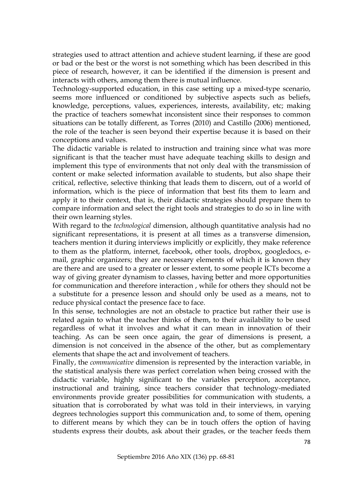strategies used to attract attention and achieve student learning, if these are good or bad or the best or the worst is not something which has been described in this piece of research, however, it can be identified if the dimension is present and interacts with others, among them there is mutual influence.

Technology-supported education, in this case setting up a mixed-type scenario, seems more influenced or conditioned by subjective aspects such as beliefs, knowledge, perceptions, values, experiences, interests, availability, etc; making the practice of teachers somewhat inconsistent since their responses to common situations can be totally different, as Torres (2010) and Castillo (2006) mentioned, the role of the teacher is seen beyond their expertise because it is based on their conceptions and values.

The didactic variable is related to instruction and training since what was more significant is that the teacher must have adequate teaching skills to design and implement this type of environments that not only deal with the transmission of content or make selected information available to students, but also shape their critical, reflective, selective thinking that leads them to discern, out of a world of information, which is the piece of information that best fits them to learn and apply it to their context, that is, their didactic strategies should prepare them to compare information and select the right tools and strategies to do so in line with their own learning styles.

With regard to the *technological* dimension, although quantitative analysis had no significant representations, it is present at all times as a transverse dimension, teachers mention it during interviews implicitly or explicitly, they make reference to them as the platform, internet, facebook, other tools, dropbox, googledocs, email, graphic organizers; they are necessary elements of which it is known they are there and are used to a greater or lesser extent, to some people ICTs become a way of giving greater dynamism to classes, having better and more opportunities for communication and therefore interaction , while for others they should not be a substitute for a presence lesson and should only be used as a means, not to reduce physical contact the presence face to face.

In this sense, technologies are not an obstacle to practice but rather their use is related again to what the teacher thinks of them, to their availability to be used regardless of what it involves and what it can mean in innovation of their teaching. As can be seen once again, the gear of dimensions is present, a dimension is not conceived in the absence of the other, but as complementary elements that shape the act and involvement of teachers.

Finally, the *communicative* dimension is represented by the interaction variable, in the statistical analysis there was perfect correlation when being crossed with the didactic variable, highly significant to the variables perception, acceptance, instructional and training, since teachers consider that technology-mediated environments provide greater possibilities for communication with students, a situation that is corroborated by what was told in their interviews, in varying degrees technologies support this communication and, to some of them, opening to different means by which they can be in touch offers the option of having students express their doubts, ask about their grades, or the teacher feeds them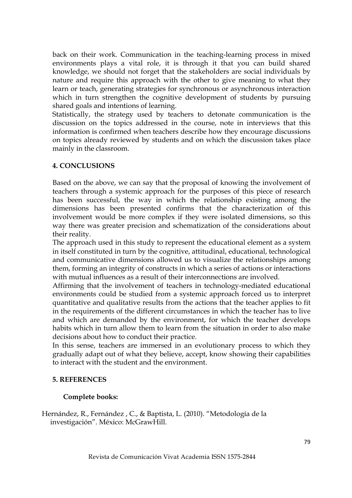back on their work. Communication in the teaching-learning process in mixed environments plays a vital role, it is through it that you can build shared knowledge, we should not forget that the stakeholders are social individuals by nature and require this approach with the other to give meaning to what they learn or teach, generating strategies for synchronous or asynchronous interaction which in turn strengthen the cognitive development of students by pursuing shared goals and intentions of learning.

Statistically, the strategy used by teachers to detonate communication is the discussion on the topics addressed in the course, note in interviews that this information is confirmed when teachers describe how they encourage discussions on topics already reviewed by students and on which the discussion takes place mainly in the classroom.

### **4. CONCLUSIONS**

Based on the above, we can say that the proposal of knowing the involvement of teachers through a systemic approach for the purposes of this piece of research has been successful, the way in which the relationship existing among the dimensions has been presented confirms that the characterization of this involvement would be more complex if they were isolated dimensions, so this way there was greater precision and schematization of the considerations about their reality.

The approach used in this study to represent the educational element as a system in itself constituted in turn by the cognitive, attitudinal, educational, technological and communicative dimensions allowed us to visualize the relationships among them, forming an integrity of constructs in which a series of actions or interactions with mutual influences as a result of their interconnections are involved.

Affirming that the involvement of teachers in technology-mediated educational environments could be studied from a systemic approach forced us to interpret quantitative and qualitative results from the actions that the teacher applies to fit in the requirements of the different circumstances in which the teacher has to live and which are demanded by the environment, for which the teacher develops habits which in turn allow them to learn from the situation in order to also make decisions about how to conduct their practice.

In this sense, teachers are immersed in an evolutionary process to which they gradually adapt out of what they believe, accept, know showing their capabilities to interact with the student and the environment.

#### **5. REFERENCES**

#### **Complete books:**

Hernández, R., Fernández , C., & Baptista, L. (2010). "Metodología de la investigación". México: McGrawHill.